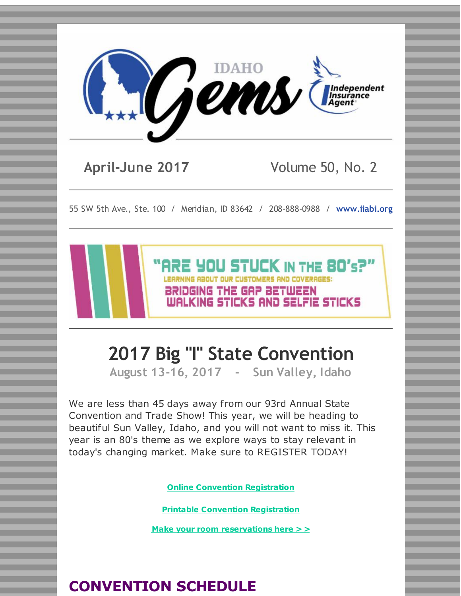

**April-June 2017** Volume 50, No. 2

55 SW 5th Ave., Ste. 100 / Meridian, ID 83642 / 208-888-0988 / **[www.iiabi.org](http://r20.rs6.net/tn.jsp?f=001C9nKuqGazWMjFjF8qxnLHKrpvSGU5CdDzR7YurVaxGCCcii3_jl6pGIlAyp-ldtRlgCfiLwQANNXD4FgV7r3SU6uMTFDiZ-Pt_4r33ZIf8fWwhfg2tVpM3mcPABmqRWl90_xu5u1Wp-Uh0CUsEXSi-hcq17pWffvgKw29ZqBFCc=&c=&ch=)**

**ARE YOU STUCK IN THE 80's?"** 

WALKING STICKS AND SELFIE STICKS

# **2017 Big "I" State Convention**

BRIDGING THE GAP BETWEEN

**August 13-16, 2017 - Sun Valley, Idaho**

We are less than 45 days away from our 93rd Annual State Convention and Trade Show! This year, we will be heading to beautiful Sun Valley, Idaho, and you will not want to miss it. This year is an 80's theme as we explore ways to stay relevant in today's changing market. Make sure to REGISTER TODAY!

**Online Convention [Registration](http://r20.rs6.net/tn.jsp?f=001C9nKuqGazWMjFjF8qxnLHKrpvSGU5CdDzR7YurVaxGCCcii3_jl6pGaamP7WWVa2t9LzGckpnFdJt5A7YykXnxYkf4qfPFFC6FlOgCBewTuobtVRrO6cTKRN3fvMTJU7oW133eBVMsGh2A3dXgXDXvkMObZVG2ZbxdoHc10YUnOXTOalOSR1njwIv8hwGvEI6rPHZcuTudhsu9YYuHlD7AQshN9dFfv0lgGjn7qlkrE=&c=&ch=)**

**Printable Convention [Registration](http://r20.rs6.net/tn.jsp?f=001C9nKuqGazWMjFjF8qxnLHKrpvSGU5CdDzR7YurVaxGCCcii3_jl6pGaamP7WWVa2uPK1iLjyOx_tk3Tzmy-oRqqJm6d_mRlh0hsFzlwAUrKLmjVv5pIO1tL2k35u0puCs3qR0-CGppH_RFYCtcuLg_HBxL87rJAIPWP0SXgwT3vYF18aKNr73R34RmS1RISOrmjEwGDx715TGowI2lZPcYQI8XBApMbyUP_-WU1A2dN9F4wd0WmLcQWkvuMZDJg9&c=&ch=)**

**Make your room [reservations](http://r20.rs6.net/tn.jsp?f=001C9nKuqGazWMjFjF8qxnLHKrpvSGU5CdDzR7YurVaxGCCcii3_jl6pA3nLq6x3Zl5vpn6z8i4QYSmuOWj_rxlEQpiX1LAf3DorJDau2-XkqYXGw3zrqV68QZiw6yfRFTq9wh4PaiE7qj_dlzv0sPblc457KAYNDWg3Nxe_yhe_pZvRt0Lv_rA_BMzb2ERij0GZKtFZ6kNvYyT4QbOpzRXog==&c=&ch=) here > >**

# **CONVENTION SCHEDULE**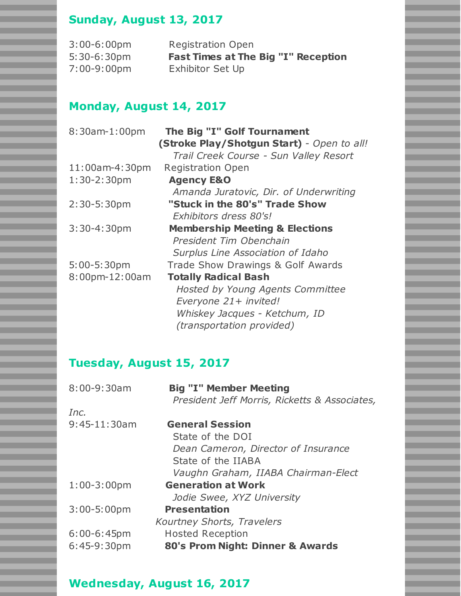# **Sunday, August 13, 2017**

| $3:00-6:00$ pm | <b>Registration Open</b>                   |
|----------------|--------------------------------------------|
| $5:30-6:30pm$  | <b>Fast Times at The Big "I" Reception</b> |
| 7:00-9:00pm    | <b>Exhibitor Set Up</b>                    |

## **Monday, August 14, 2017**

| 8:30am-1:00pm     | The Big "I" Golf Tournament                |
|-------------------|--------------------------------------------|
|                   | (Stroke Play/Shotgun Start) - Open to all! |
|                   | Trail Creek Course - Sun Valley Resort     |
| $11:00$ am-4:30pm | <b>Registration Open</b>                   |
| $1:30-2:30$ pm    | <b>Agency E&amp;O</b>                      |
|                   | Amanda Juratovic, Dir. of Underwriting     |
| $2:30-5:30pm$     | "Stuck in the 80's" Trade Show             |
|                   | Exhibitors dress 80's!                     |
| $3:30 - 4:30$ pm  | <b>Membership Meeting &amp; Elections</b>  |
|                   | President Tim Obenchain                    |
|                   | Surplus Line Association of Idaho          |
| $5:00-5:30$ pm    | Trade Show Drawings & Golf Awards          |
| 8:00pm-12:00am    | <b>Totally Radical Bash</b>                |
|                   | Hosted by Young Agents Committee           |
|                   | Everyone 21+ invited!                      |
|                   | Whiskey Jacques - Ketchum, ID              |
|                   | (transportation provided)                  |

# **Tuesday, August 15, 2017**

| $8:00 - 9:30$ am | <b>Big "I" Member Meeting</b><br>President Jeff Morris, Ricketts & Associates, |
|------------------|--------------------------------------------------------------------------------|
| Inc.             |                                                                                |
| $9:45-11:30am$   | <b>General Session</b>                                                         |
|                  | State of the DOI                                                               |
|                  | Dean Cameron, Director of Insurance                                            |
|                  | State of the IIABA                                                             |
|                  | Vaughn Graham, IIABA Chairman-Elect                                            |
| $1:00-3:00$ pm   | <b>Generation at Work</b>                                                      |
|                  | Jodie Swee, XYZ University                                                     |
| $3:00-5:00$ pm   | <b>Presentation</b>                                                            |
|                  | <b>Kourtney Shorts, Travelers</b>                                              |
| $6:00-6:45$ pm   | <b>Hosted Reception</b>                                                        |
| $6:45-9:30pm$    | 80's Prom Night: Dinner & Awards                                               |
|                  |                                                                                |

## **Wednesday, August 16, 2017**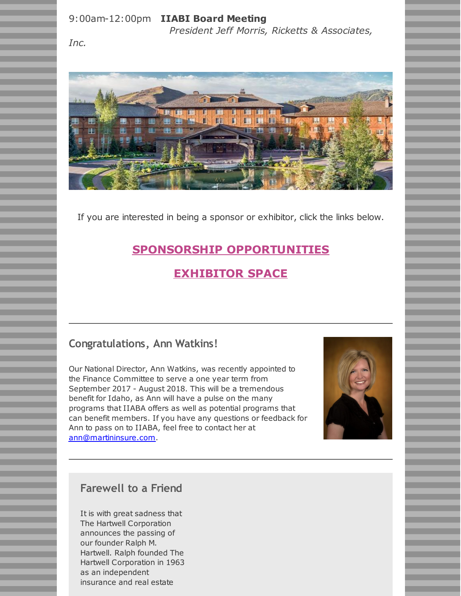#### 9:00am-12:00pm **IIABI Board Meeting**

*President Jeff Morris, Ricketts & Associates,*

*Inc.*



If you are interested in being a sponsor or exhibitor, click the links below.

## **SPONSORSHIP [OPPORTUNITIES](http://r20.rs6.net/tn.jsp?f=001C9nKuqGazWMjFjF8qxnLHKrpvSGU5CdDzR7YurVaxGCCcii3_jl6pANr0o5IMa3l4jJ01nNDsGRLbwJkby9nRmfXhnp6QoLkrEdEcFqEchYRGi3fUAdyEaEDb29Mt2MpHAXTMYOiWt4jKHsmRrCKdGuFgnJ3kdDEnHvxcAOw_MzeUoaxSuQKLpzH_hb9rwVPlvEtotKgIfAIGbtJCeJ70RZkNnAk5-mn_FZWpIU8BjdDwlCWZ3vCIvFNVMC-kL-r&c=&ch=)**

## **[EXHIBITOR](http://r20.rs6.net/tn.jsp?f=001C9nKuqGazWMjFjF8qxnLHKrpvSGU5CdDzR7YurVaxGCCcii3_jl6pANr0o5IMa3lAPCkvY4ksDmLRF2RDQkBsPhmRfWFRMKlrSbXNRw7Gko3Glw5zEjbodr7pTDud0A-7YclfdXxBDIUZWls0wRSiuam6BeBTjEQ_g0IlviYRPUvTJVC7RQnMjXBlvSKzZl41PLbQkm0zp4umo9ebtI02Nv-FUSr6kQX0DnI5G54zrJ_b1lodbB20tHgbB-1Wqig&c=&ch=) SPACE**

## **Congratulations, Ann Watkins!**

Our National Director, Ann Watkins, was recently appointed to the Finance Committee to serve a one year term from September 2017 - August 2018. This will be a tremendous benefit for Idaho, as Ann will have a pulse on the many programs that IIABA offers as well as potential programs that can benefit members. If you have any questions or feedback for Ann to pass on to IIABA, feel free to contact her at [ann@martininsure.com](mailto:ann@martininsure.com).



## **Farewell to a Friend**

It is with great sadness that The Hartwell Corporation announces the passing of our founder Ralph M. Hartwell. Ralph founded The Hartwell Corporation in 1963 as an independent insurance and real estate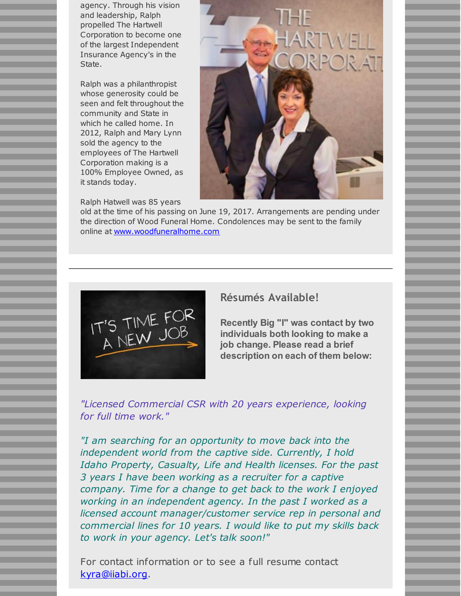agency. Through his vision and leadership, Ralph propelled The Hartwell Corporation to become one of the largest Independent Insurance Agency's in the State.

Ralph was a philanthropist whose generosity could be seen and felt throughout the community and State in which he called home. In 2012, Ralph and Mary Lynn sold the agency to the employees of The Hartwell Corporation making is a 100% Employee Owned, as it stands today.

Ralph Hatwell was 85 years



old at the time of his passing on June 19, 2017. Arrangements are pending under the direction of Wood Funeral Home. Condolences may be sent to the family online at [www.woodfuneralhome.com](http://r20.rs6.net/tn.jsp?f=001C9nKuqGazWMjFjF8qxnLHKrpvSGU5CdDzR7YurVaxGCCcii3_jl6pGaamP7WWVa2rrRkj_jTTqGy5e5FtqjN6Mlb8x3EBD0DmPsTDmVE7wlCFo4NYrdWhlTo8GB6Neuigv6mtfuxdKqxYYaJ18g9a_g-MGes3I2AIrubXViv9G9QQCYqVM958g==&c=&ch=)



### **Résumés Available!**

**Recently Big "I" was contact by two individuals both looking to make a job change. Please read a brief description on each of them below:**

*"Licensed Commercial CSR with 20 years experience, looking for full time work."*

*"I am searching for an opportunity to move back into the independent world from the captive side. Currently, I hold Idaho Property, Casualty, Life and Health licenses. For the past 3 years I have been working as a recruiter for a captive company. Time for a change to get back to the work I enjoyed working in an independent agency. In the past I worked as a licensed account manager/customer service rep in personal and commercial lines for 10 years. I would like to put my skills back to work in your agency. Let's talk soon!"*

For contact information or to see a full resume contact [kyra@iiabi.org](mailto:kyra@iiabi.org).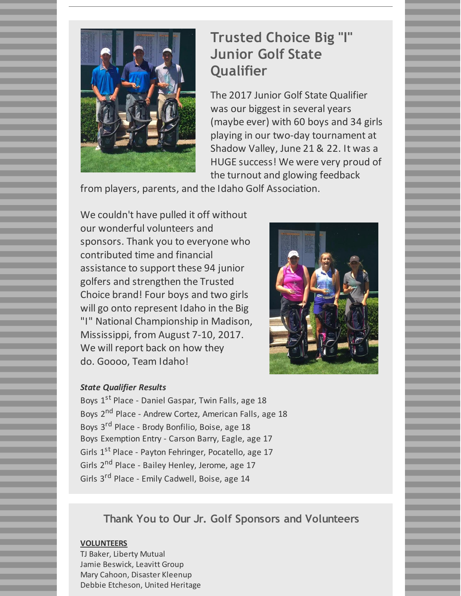

# **Trusted Choice Big "I" Junior Golf State Qualifier**

The 2017 Junior Golf State Qualifier was our biggest in several years (maybe ever) with 60 boys and 34 girls playing in our two-day tournament at Shadow Valley, June 21 & 22. It was a HUGE success! We were very proud of the turnout and glowing feedback

from players, parents, and the Idaho Golf Association.

We couldn't have pulled it off without our wonderful volunteers and sponsors. Thank you to everyone who contributed time and financial assistance to support these 94 junior golfers and strengthen the Trusted Choice brand! Four boys and two girls will go onto represent Idaho in the Big "I" National Championship in Madison, Mississippi, from August 7-10, 2017. We will report back on how they do. Goooo, Team Idaho!



### *State Qualifier Results*

Boys 1<sup>st</sup> Place - Daniel Gaspar, Twin Falls, age 18 Boys 2<sup>nd</sup> Place - Andrew Cortez, American Falls, age 18 Boys 3<sup>rd</sup> Place - Brody Bonfilio, Boise, age 18 Boys Exemption Entry - Carson Barry, Eagle, age 17 Girls 1<sup>st</sup> Place - Payton Fehringer, Pocatello, age 17 Girls 2<sup>nd</sup> Place - Bailey Henley, Jerome, age 17 Girls 3<sup>rd</sup> Place - Emily Cadwell, Boise, age 14

**Thank You to Our Jr. Golf Sponsors and Volunteers**

#### **VOLUNTEERS**

TJ Baker, Liberty Mutual Jamie Beswick, Leavitt Group Mary Cahoon, Disaster Kleenup Debbie Etcheson, United Heritage